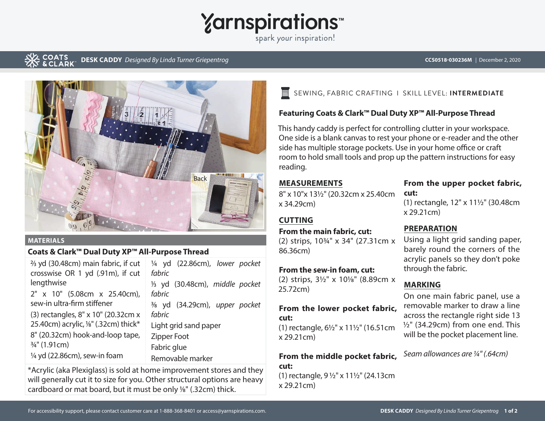# **Yarnspirations**

spark your inspiration!

#### COATS **DESK CADDY** *Designed By Linda Turner Griepentrog* **CCS0518-030236M** | December 2, 2020



#### **MATERIALS**

## **Coats & Clark™ Dual Duty XP™ All-Purpose Thread**

| 3/ <sub>3</sub> yd (30.48cm) main fabric, if cut<br>crosswise OR 1 yd (.91m), if cut | 1/4 yd (22.86cm), lower pocket<br>fabric |
|--------------------------------------------------------------------------------------|------------------------------------------|
| lengthwise                                                                           | 1/3 yd (30.48cm), middle pocket          |
| 2" x 10" (5.08cm x 25.40cm),                                                         | fabric                                   |
| sew-in ultra-firm stiffener                                                          | 3/8 yd (34.29cm), upper pocket           |
| (3) rectangles, 8" x 10" (20.32cm x                                                  | fabric                                   |
| 25.40cm) acrylic, <sup>1/8"</sup> (.32cm) thick*                                     | Light grid sand paper                    |
| 8" (20.32cm) hook-and-loop tape,                                                     | Zipper Foot                              |
| $\frac{3}{4}$ " (1.91cm)                                                             | Fabric glue                              |
| 1/4 yd (22.86cm), sew-in foam                                                        | Removable marker                         |

\*Acrylic (aka Plexiglass) is sold at home improvement stores and they will generally cut it to size for you. Other structural options are heavy cardboard or mat board, but it must be only <sup>1</sup>/8" (.32cm) thick.

## SEWING, FABRIC CRAFTING I SKILL LEVEL: **INTERMEDIATE**

## **Featuring Coats & Clark™ Dual Duty XP™ All-Purpose Thread**

This handy caddy is perfect for controlling clutter in your workspace. One side is a blank canvas to rest your phone or e-reader and the other side has multiple storage pockets. Use in your home office or craft room to hold small tools and prop up the pattern instructions for easy reading.

## **MEASUREMENTS**

8" x 10"x 131/2" (20.32cm x 25.40cm x 34.29cm)

## **CUTTING**

## **From the main fabric, cut:**

(2) strips, 10¾" x 34" (27.31cm x 86.36cm)

### **From the sew-in foam, cut:**

(2) strips, 3½" x 101/8" (8.89cm x 25.72cm)

#### **From the lower pocket fabric, cut:**

(1) rectangle, 6½" x 11½" (16.51cm x 29.21cm)

## **From the middle pocket fabric, cut:**

(1) rectangle, 9 ½" x 11½" (24.13cm x 29.21cm)

## **From the upper pocket fabric, cut:**

(1) rectangle, 12" x 11½" (30.48cm x 29.21cm)

## **PREPARATION**

Using a light grid sanding paper, barely round the corners of the acrylic panels so they don't poke through the fabric.

## **MARKING**

On one main fabric panel, use a removable marker to draw a line across the rectangle right side 13 ½" (34.29cm) from one end. This will be the pocket placement line.

*Seam allowances are 1/4" (.64cm)*